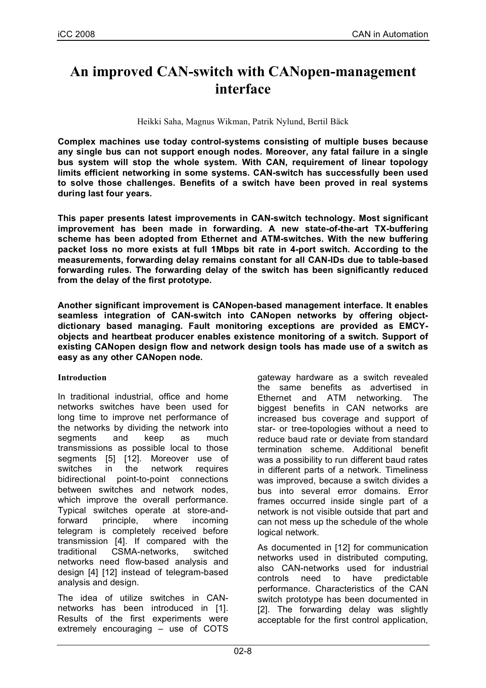# **An improved CAN-switch with CANopen-management interface**

Heikki Saha, Magnus Wikman, Patrik Nylund, Bertil Bäck

**Complex machines use today control-systems consisting of multiple buses because any single bus can not support enough nodes. Moreover, any fatal failure in a single bus system will stop the whole system. With CAN, requirement of linear topology limits efficient networking in some systems. CAN-switch has successfully been used to solve those challenges. Benefits of a switch have been proved in real systems during last four years.**

**This paper presents latest improvements in CAN-switch technology. Most significant improvement has been made in forwarding. A new state-of-the-art TX-buffering scheme has been adopted from Ethernet and ATM-switches. With the new buffering packet loss no more exists at full 1Mbps bit rate in 4-port switch. According to the measurements, forwarding delay remains constant for all CAN-IDs due to table-based forwarding rules. The forwarding delay of the switch has been significantly reduced from the delay of the first prototype.**

**Another significant improvement is CANopen-based management interface. It enables seamless integration of CAN-switch into CANopen networks by offering objectdictionary based managing. Fault monitoring exceptions are provided as EMCYobjects and heartbeat producer enables existence monitoring of a switch. Support of existing CANopen design flow and network design tools has made use of a switch as easy as any other CANopen node.**

#### **Introduction**

In traditional industrial, office and home networks switches have been used for long time to improve net performance of the networks by dividing the network into segments and keep as much transmissions as possible local to those segments [5] [12]. Moreover use of switches in the network requires bidirectional point-to-point connections between switches and network nodes, which improve the overall performance. Typical switches operate at store-andforward principle, where incoming telegram is completely received before transmission [4]. If compared with the traditional CSMA-networks, switched networks need flow-based analysis and design [4] [12] instead of telegram-based analysis and design.

The idea of utilize switches in CANnetworks has been introduced in [1]. Results of the first experiments were extremely encouraging – use of COTS gateway hardware as a switch revealed the same benefits as advertised in Ethernet and ATM networking. The biggest benefits in CAN networks are increased bus coverage and support of star- or tree-topologies without a need to reduce baud rate or deviate from standard termination scheme. Additional benefit was a possibility to run different baud rates in different parts of a network. Timeliness was improved, because a switch divides a bus into several error domains. Error frames occurred inside single part of a network is not visible outside that part and can not mess up the schedule of the whole logical network.

As documented in [12] for communication networks used in distributed computing, also CAN-networks used for industrial controls need to have predictable performance. Characteristics of the CAN switch prototype has been documented in [2]. The forwarding delay was slightly acceptable for the first control application,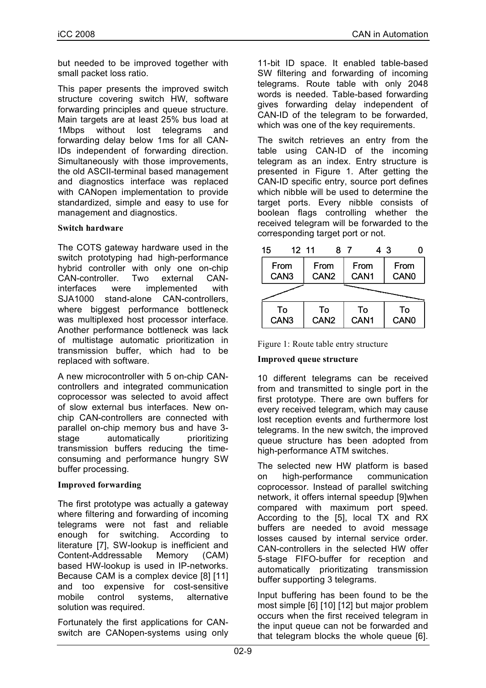but needed to be improved together with small packet loss ratio.

This paper presents the improved switch structure covering switch HW, software forwarding principles and queue structure. Main targets are at least 25% bus load at 1Mbps without lost telegrams and forwarding delay below 1ms for all CAN-IDs independent of forwarding direction. Simultaneously with those improvements, the old ASCII-terminal based management and diagnostics interface was replaced with CANopen implementation to provide standardized, simple and easy to use for management and diagnostics.

### **Switch hardware**

The COTS gateway hardware used in the switch prototyping had high-performance hybrid controller with only one on-chip CAN-controller. Two external CANinterfaces were implemented with SJA1000 stand-alone CAN-controllers, where biggest performance bottleneck was multiplexed host processor interface. Another performance bottleneck was lack of multistage automatic prioritization in transmission buffer, which had to be replaced with software.

A new microcontroller with 5 on-chip CANcontrollers and integrated communication coprocessor was selected to avoid affect of slow external bus interfaces. New onchip CAN-controllers are connected with parallel on-chip memory bus and have 3 stage automatically prioritizing transmission buffers reducing the timeconsuming and performance hungry SW buffer processing.

#### **Improved forwarding**

The first prototype was actually a gateway where filtering and forwarding of incoming telegrams were not fast and reliable enough for switching. According to literature [7], SW-lookup is inefficient and Content-Addressable Memory (CAM) based HW-lookup is used in IP-networks. Because CAM is a complex device [8] [11] and too expensive for cost-sensitive mobile control systems, alternative solution was required.

Fortunately the first applications for CANswitch are CANopen-systems using only 11-bit ID space. It enabled table-based SW filtering and forwarding of incoming telegrams. Route table with only 2048 words is needed. Table-based forwarding gives forwarding delay independent of CAN-ID of the telegram to be forwarded, which was one of the key requirements.

The switch retrieves an entry from the table using CAN-ID of the incoming telegram as an index. Entry structure is presented in Figure 1. After getting the CAN-ID specific entry, source port defines which nibble will be used to determine the target ports. Every nibble consists of boolean flags controlling whether the received telegram will be forwarded to the corresponding target port or not.

| 15                                                                                                                                                     | 12 11 |                  |  |                  | 43 |                  |  |
|--------------------------------------------------------------------------------------------------------------------------------------------------------|-------|------------------|--|------------------|----|------------------|--|
| From                                                                                                                                                   |       | From             |  | From             |    | From             |  |
| CAN <sub>3</sub>                                                                                                                                       |       | CAN <sub>2</sub> |  | CAN <sub>1</sub> |    | CAN <sub>0</sub> |  |
| successive and continued in the continued of the continued of the continued of the continued of the continued of<br>. a po menova menova menova menova |       |                  |  |                  |    |                  |  |
| To                                                                                                                                                     |       | To               |  | To               |    | To               |  |
| CAN <sub>3</sub>                                                                                                                                       |       | CAN <sub>2</sub> |  | CAN <sub>1</sub> |    | CAN <sub>0</sub> |  |

| Figure 1: Route table entry structure |  |
|---------------------------------------|--|

#### **Improved queue structure**

10 different telegrams can be received from and transmitted to single port in the first prototype. There are own buffers for every received telegram, which may cause lost reception events and furthermore lost telegrams. In the new switch, the improved queue structure has been adopted from high-performance ATM switches.

The selected new HW platform is based on high-performance communication coprocessor. Instead of parallel switching network, it offers internal speedup [9]when compared with maximum port speed. According to the [5], local TX and RX buffers are needed to avoid message losses caused by internal service order. CAN-controllers in the selected HW offer 5-stage FIFO-buffer for reception and automatically prioritizating transmission buffer supporting 3 telegrams.

Input buffering has been found to be the most simple [6] [10] [12] but major problem occurs when the first received telegram in the input queue can not be forwarded and that telegram blocks the whole queue [6].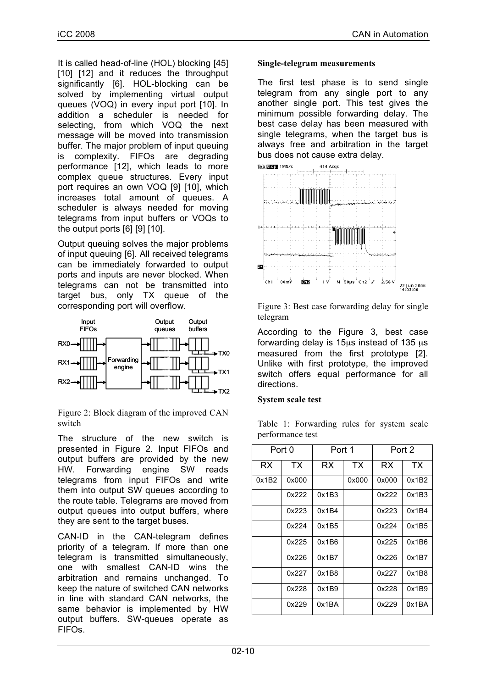It is called head-of-line (HOL) blocking [45] [10] [12] and it reduces the throughput significantly [6]. HOL-blocking can be solved by implementing virtual output queues (VOQ) in every input port [10]. In addition a scheduler is needed for selecting, from which VOQ the next message will be moved into transmission buffer. The major problem of input queuing is complexity. FIFOs are degrading performance [12], which leads to more complex queue structures. Every input port requires an own VOQ [9] [10], which increases total amount of queues. A scheduler is always needed for moving telegrams from input buffers or VOQs to the output ports [6] [9] [10].

Output queuing solves the major problems of input queuing [6]. All received telegrams can be immediately forwarded to output ports and inputs are never blocked. When telegrams can not be transmitted into target bus, only TX queue of the corresponding port will overflow.



Figure 2: Block diagram of the improved CAN switch

The structure of the new switch is presented in Figure 2. Input FIFOs and output buffers are provided by the new HW. Forwarding engine SW reads telegrams from input FIFOs and write them into output SW queues according to the route table. Telegrams are moved from output queues into output buffers, where they are sent to the target buses.

CAN-ID in the CAN-telegram defines priority of a telegram. If more than one telegram is transmitted simultaneously, one with smallest CAN-ID wins the arbitration and remains unchanged. To keep the nature of switched CAN networks in line with standard CAN networks, the same behavior is implemented by HW output buffers. SW-queues operate as FIFOs.

#### **Single-telegram measurements**

The first test phase is to send single telegram from any single port to any another single port. This test gives the minimum possible forwarding delay. The best case delay has been measured with single telegrams, when the target bus is always free and arbitration in the target bus does not cause extra delay.



Figure 3: Best case forwarding delay for single telegram

According to the Figure 3, best case forwarding delay is  $15\mu s$  instead of 135  $\mu s$ measured from the first prototype [2]. Unlike with first prototype, the improved switch offers equal performance for all directions.

#### **System scale test**

Table 1: Forwarding rules for system scale performance test

| Port 0 |       | Port 1    |           | Port 2 |           |
|--------|-------|-----------|-----------|--------|-----------|
| RX     | TX    | <b>RX</b> | <b>TX</b> | RX     | <b>TX</b> |
| 0x1B2  | 0x000 |           | 0x000     | 0x000  | 0x1B2     |
|        | 0x222 | 0x1B3     |           | 0x222  | 0x1B3     |
|        | 0x223 | 0x1B4     |           | 0x223  | 0x1B4     |
|        | 0x224 | 0x1B5     |           | 0x224  | 0x1B5     |
|        | 0x225 | 0x1B6     |           | 0x225  | 0x1B6     |
|        | 0x226 | 0x1B7     |           | 0x226  | 0x1B7     |
|        | 0x227 | 0x1B8     |           | 0x227  | 0x1B8     |
|        | 0x228 | 0x1B9     |           | 0x228  | 0x1B9     |
|        | 0x229 | 0x1BA     |           | 0x229  | 0x1BA     |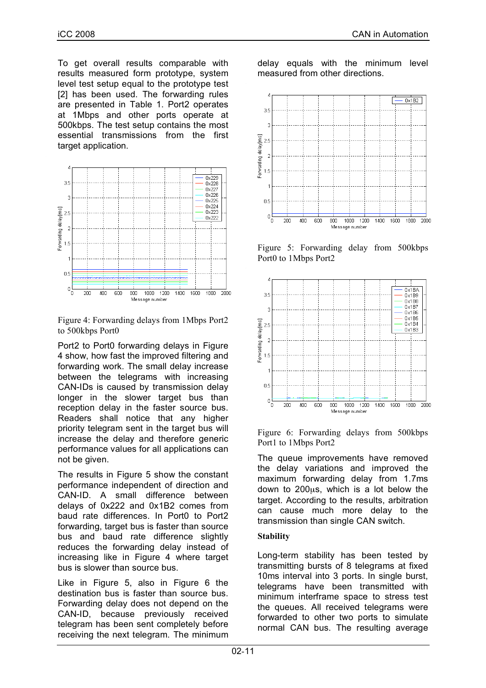To get overall results comparable with results measured form prototype, system level test setup equal to the prototype test [2] has been used. The forwarding rules are presented in Table 1. Port2 operates at 1Mbps and other ports operate at 500kbps. The test setup contains the most essential transmissions from the first target application.



Figure 4: Forwarding delays from 1Mbps Port2 to 500kbps Port0

Port2 to Port0 forwarding delays in Figure 4 show, how fast the improved filtering and forwarding work. The small delay increase between the telegrams with increasing CAN-IDs is caused by transmission delay longer in the slower target bus than reception delay in the faster source bus. Readers shall notice that any higher priority telegram sent in the target bus will increase the delay and therefore generic performance values for all applications can not be given.

The results in Figure 5 show the constant performance independent of direction and CAN-ID. A small difference between delays of 0x222 and 0x1B2 comes from baud rate differences. In Port0 to Port2 forwarding, target bus is faster than source bus and baud rate difference slightly reduces the forwarding delay instead of increasing like in Figure 4 where target bus is slower than source bus.

Like in Figure 5, also in Figure 6 the destination bus is faster than source bus. Forwarding delay does not depend on the CAN-ID, because previously received telegram has been sent completely before receiving the next telegram. The minimum delay equals with the minimum level measured from other directions.



Figure 5: Forwarding delay from 500kbps Port0 to 1Mbps Port2



Figure 6: Forwarding delays from 500kbps Port1 to 1Mbps Port2

The queue improvements have removed the delay variations and improved the maximum forwarding delay from 1.7ms down to 200µs, which is a lot below the target. According to the results, arbitration can cause much more delay to the transmission than single CAN switch.

## **Stability**

Long-term stability has been tested by transmitting bursts of 8 telegrams at fixed 10ms interval into 3 ports. In single burst, telegrams have been transmitted with minimum interframe space to stress test the queues. All received telegrams were forwarded to other two ports to simulate normal CAN bus. The resulting average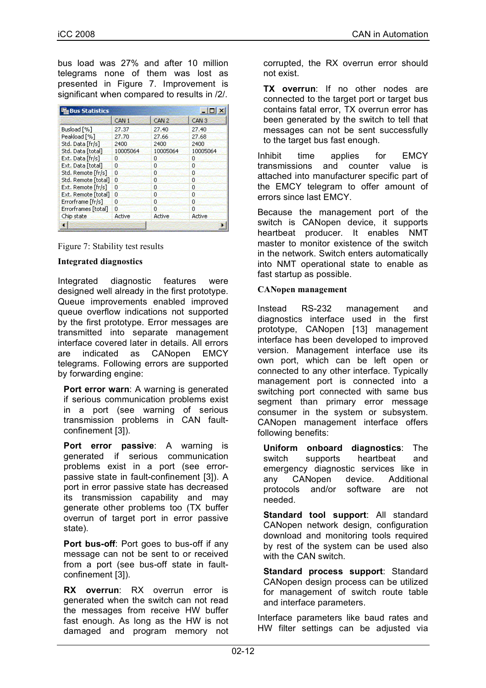bus load was 27% and after 10 million telegrams none of them was lost as presented in Figure 7. Improvement is significant when compared to results in /2/.

| <b>Bus Statistics</b>  |                  |                  |                  |  |
|------------------------|------------------|------------------|------------------|--|
|                        | CAN <sub>1</sub> | CAN <sub>2</sub> | CAN <sub>3</sub> |  |
| Busload <sup>[%]</sup> | 27.37            | 27,40            | 27.40            |  |
| Peakload [%]           | 27.70            | 27.66            | 27.68            |  |
| Std. Data [fr/s]       | 2400             | 2400             | 2400             |  |
| Std. Data [total]      | 10005064         | 10005064         | 10005064         |  |
| Ext. Data [fr/s]       | o                | ٥                | 0                |  |
| Ext. Data [total]      | o                | 0                | 0                |  |
| Std. Remote [fr/s]     | 0                | ٥                | 0                |  |
| Std. Remote [total]    | 0                | 0                | o                |  |
| Ext. Remote [fr/s]     | n                | n                | ٥                |  |
| Ext. Remote [total]    | 0                | ū                | o                |  |
| Errorframe [fr/s]      | Ω                | n                | ñ                |  |
| Errorframes [total]    | ū                | 0                | Ω                |  |
| Chip state             | Active           | Active           | Active           |  |
|                        |                  |                  |                  |  |

Figure 7: Stability test results

#### **Integrated diagnostics**

Integrated diagnostic features were designed well already in the first prototype. Queue improvements enabled improved queue overflow indications not supported by the first prototype. Error messages are transmitted into separate management interface covered later in details. All errors are indicated as CANopen EMCY telegrams. Following errors are supported by forwarding engine:

**Port error warn:** A warning is generated if serious communication problems exist in a port (see warning of serious transmission problems in CAN faultconfinement [3]).

**Port error passive**: A warning is generated if serious communication problems exist in a port (see errorpassive state in fault-confinement [3]). A port in error passive state has decreased its transmission capability and may generate other problems too (TX buffer overrun of target port in error passive state).

**Port bus-off**: Port goes to bus-off if any message can not be sent to or received from a port (see bus-off state in faultconfinement [3]).

**RX overrun**: RX overrun error is generated when the switch can not read the messages from receive HW buffer fast enough. As long as the HW is not damaged and program memory not corrupted, the RX overrun error should not exist.

**TX overrun**: If no other nodes are connected to the target port or target bus contains fatal error, TX overrun error has been generated by the switch to tell that messages can not be sent successfully to the target bus fast enough.

Inhibit time applies for EMCY transmissions and counter value is attached into manufacturer specific part of the EMCY telegram to offer amount of errors since last EMCY.

Because the management port of the switch is CANopen device, it supports heartbeat producer. It enables NMT master to monitor existence of the switch in the network. Switch enters automatically into NMT operational state to enable as fast startup as possible.

## **CANopen management**

Instead RS-232 management and diagnostics interface used in the first prototype, CANopen [13] management interface has been developed to improved version. Management interface use its own port, which can be left open or connected to any other interface. Typically management port is connected into a switching port connected with same bus segment than primary error message consumer in the system or subsystem. CANopen management interface offers following benefits:

**Uniform onboard diagnostics**: The switch supports heartbeat and emergency diagnostic services like in any CANopen device. Additional protocols and/or software are not needed.

**Standard tool support**: All standard CANopen network design, configuration download and monitoring tools required by rest of the system can be used also with the CAN switch.

**Standard process support**: Standard CANopen design process can be utilized for management of switch route table and interface parameters.

Interface parameters like baud rates and HW filter settings can be adjusted via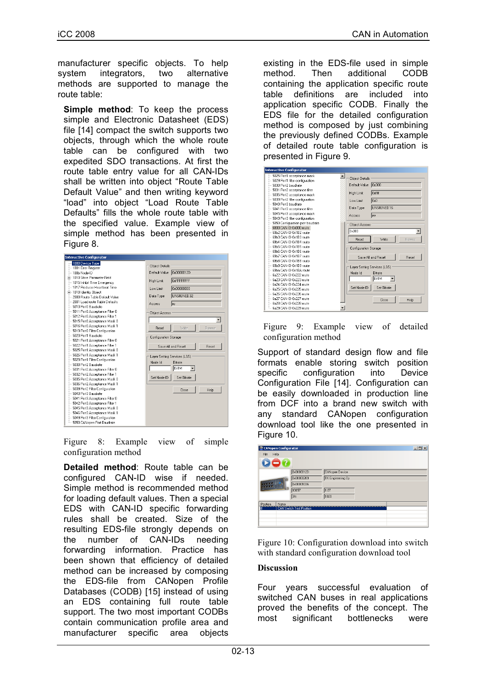manufacturer specific objects. To help system integrators, two alternative methods are supported to manage the route table:

**Simple method**: To keep the process simple and Electronic Datasheet (EDS) file [14] compact the switch supports two objects, through which the whole route table can be configured with two expedited SDO transactions. At first the route table entry value for all CAN-IDs shall be written into object "Route Table Default Value" and then writing keyword "load" into object "Load Route Table Defaults" fills the whole route table with the specified value. Example view of simple method has been presented in Figure 8.

Figure 8: Example view of simple configuration method

**Detailed method**: Route table can be configured CAN-ID wise if needed. Simple method is recommended method for loading default values. Then a special EDS with CAN-ID specific forwarding rules shall be created. Size of the resulting EDS-file strongly depends on the number of CAN-IDs needing forwarding information. Practice has been shown that efficiency of detailed method can be increased by composing the EDS-file from CANopen Profile Databases (CODB) [15] instead of using an EDS containing full route table support. The two most important CODBs contain communication profile area and manufacturer specific area objects

existing in the EDS-file used in simple method. Then additional CODB containing the application specific route table definitions are included into application specific CODB. Finally the EDS file for the detailed configuration method is composed by just combining the previously defined CODBs. Example of detailed route table configuration is presented in Figure 9.

| <b>Interactive Configurator</b>                               |                                   |
|---------------------------------------------------------------|-----------------------------------|
| 5025 Port1 acceptance mask<br>5029 Port1 filter configuration | <b>Obiect Details</b>             |
| 5030 Port2 baudrate                                           | l0x300<br>Default Value           |
| 5031 Port2 acceptance filter                                  | <b>Oxfff</b><br><b>High Limit</b> |
| 5035 Port2 acceptance mask                                    |                                   |
| 5039 Port2 filter configuration                               | 0x0<br>Low Limit                  |
| 5040 Port3 baudrate                                           | UNSIGNED16<br>Data Type           |
| 5041 Port3 acceptance filter                                  |                                   |
| 5045 Port3 acceptance mask                                    | Access<br><b>Itw</b>              |
| 5049 Port3 filter configuration                               |                                   |
| 5050 Configuration port baudrate<br>6800 CAN-ID 0x000 route   | <b>Object Access</b>              |
| 69b2 CAN-ID 0x1B2 mute                                        | 0x300                             |
| 69b3 CAN-ID 0x1B3 route                                       |                                   |
| 69h4 CAN-ID 0x1B4 mute                                        | Read<br>Write<br><b>Browse</b>    |
| 69b5 CAN-ID 0x1B5 route                                       |                                   |
| 69b6 CAN-ID 0x186 route                                       | <b>Configuration Storage</b>      |
| 69b7 CAN-ID 0x1B7 mute                                        | Save All and Reset<br>Reset       |
| 69b8 CAN-ID Bx1B8 route                                       |                                   |
| 69b9 CAN-ID 0x189 mute                                        | Laver Setting Services (LSS)      |
| 69ba CAN-ID 0x1BA route                                       | Node Id<br><b>Bitrate</b>         |
| 6a22 CAN-ID 0x222 route                                       |                                   |
| 6a23 CAN-ID 0x223 mute                                        | Bit1M                             |
| 6a24 CAN-ID 0x224 route                                       | Set Node-ID<br>Set Bitrate        |
| 6a25 CAN-ID 0x225 route                                       |                                   |
| 6a26 CAN-ID 0x226 mute                                        |                                   |
| 6a27 CAN-ID 0x227 route                                       | Close<br>Help                     |
| 6a28 CAN-ID 0x228 mute                                        |                                   |
| 6a29 CAN-ID 0x229 route                                       |                                   |

Figure 9: Example view of detailed configuration method

Support of standard design flow and file formats enable storing switch position specific configuration into Device Configuration File [14]. Configuration can be easily downloaded in production line from DCF into a brand new switch with any standard CANopen configuration download tool like the one presented in Figure 10.

| <b>CANopen Configurator</b> |                                 |                          | $-10x$ |
|-----------------------------|---------------------------------|--------------------------|--------|
| Help<br>: File              |                                 |                          |        |
| 2                           |                                 |                          |        |
|                             | 0x0000012D                      | CANopen Device           |        |
|                             | 0x00000209                      | <b>TK Engineering Oy</b> |        |
|                             | 0x00001036                      |                          |        |
|                             | 10057                           | 1.87                     |        |
|                             | 3fc                             | 1020                     |        |
| Position<br>Name            |                                 |                          |        |
| O                           | <b>CAN Switch Test Position</b> |                          |        |
|                             |                                 |                          |        |
|                             |                                 |                          |        |

Figure 10: Configuration download into switch with standard configuration download tool

#### **Discussion**

Four years successful evaluation of switched CAN buses in real applications proved the benefits of the concept. The most significant bottlenecks were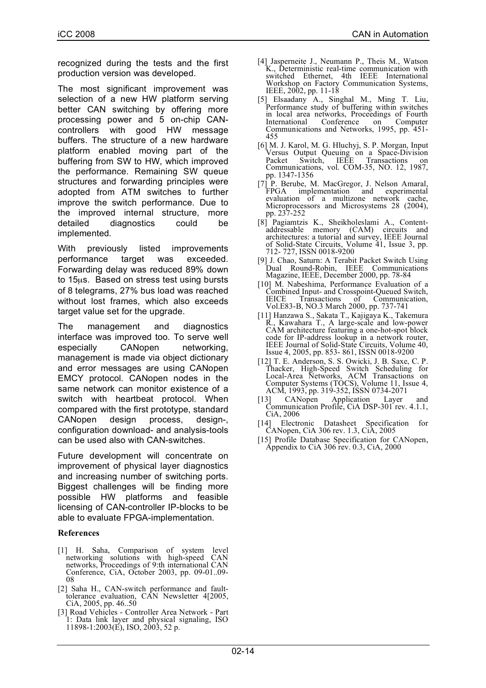recognized during the tests and the first production version was developed.

The most significant improvement was selection of a new HW platform serving better CAN switching by offering more processing power and 5 on-chip CANcontrollers with good HW message buffers. The structure of a new hardware platform enabled moving part of the buffering from SW to HW, which improved the performance. Remaining SW queue structures and forwarding principles were adopted from ATM switches to further improve the switch performance. Due to the improved internal structure, more detailed diagnostics could be implemented.

With previously listed improvements performance target was exceeded. Forwarding delay was reduced 89% down to 15µs. Based on stress test using bursts of 8 telegrams, 27% bus load was reached without lost frames, which also exceeds target value set for the upgrade.

The management and diagnostics interface was improved too. To serve well especially CANopen networking, management is made via object dictionary and error messages are using CANopen EMCY protocol. CANopen nodes in the same network can monitor existence of a switch with heartbeat protocol. When compared with the first prototype, standard CANopen design process, design-, configuration download- and analysis-tools can be used also with CAN-switches.

Future development will concentrate on improvement of physical layer diagnostics and increasing number of switching ports. Biggest challenges will be finding more possible HW platforms and feasible licensing of CAN-controller IP-blocks to be able to evaluate FPGA-implementation.

#### **References**

- [1] H. Saha, Comparison of system level networking solutions with high-speed CAN networks, Proceedings of 9:th international CAN Conference, CiA, October 2003, pp. 09-01..09-<br>08
- [2] Saha H., CAN-switch performance and fault- tolerance evaluation, CAN Newsletter 4[2005, CiA, 2005, pp. 46..50
- [3] Road Vehicles Controller Area Network Part 1: Data link layer and physical signaling, ISO 11898-1:2003(E), ISO, 2003, 52 p.
- [4] Jasperneite J., Neumann P., Theis M., Watson K., Deterministic real-time communication with switched Ethernet, 4th IEEE International Workshop on Factory Communication Systems,<br>IEEE, 2002, pp. 11-18
- [5] Elsaadany A., Singhal M., Ming T. Liu, Performance study of buffering within switches in local area networks, Proceedings of Fourth<br>International Conference on Computer International Conference on Communications and Networks, 1995, pp. 451- <sup>455</sup>
- [6] M. J. Karol, M. G. Hluchyj, S. P. Morgan, Input Versus Output Queuing on a Space-Division Packet Switch, IEEE Transactions on Communications, vol. COM-35, NO. 12, 1987, pp. 1347-1356
- [7] P. Berube, M. MacGregor, J. Nelson Amaral, FPGA implementation and experimental evaluation of <sup>a</sup> multizone network cache, Microprocessors and Microsystems <sup>28</sup> (2004), pp. 237-252
- [8] Pagiamtzis K., Sheikholeslami A., Content- addressable memory (CAM) circuits and architectures: a tutorial and survey, IEEE Journal of Solid-State Circuits, Volume 41, Issue 3, pp. 712- 727, ISSN 0018-9200
- [9] J. Chao, Saturn: A Terabit Packet Switch Using Dual Round-Robin, IEEE Communications Magazine, IEEE, December 2000, pp. 78-84
- [10] M. Nabeshima, Performance Evaluation of a Combined Input- and Crosspoint-Queued Switch, IEICE Transactions of Communication, Vol.E83-B, NO.3 March 2000, pp. 737-741
- [11] Hanzawa S., Sakata T., Kajigaya K., Takemura R., Kawahara T., A large-scale and low-power CAM architecture featuring a one-hot-spot block<br>code for IP-address lookup in a network router, IEEE Journal of Solid-State Circuits, Volume 40, Issue 4, 2005, pp. 853- 861, ISSN 0018-9200
- [12] T. E. Anderson, S. S. Owicki, J. B. Saxe, C. P. Thacker, High-Speed Switch Scheduling for Local-Area Networks, ACM Transactions on Computer Systems (TOCS), Volume 11, Issue 4, ACM, 1993, pp. 319-352, ISSN 0734-2071
- [13] CANopen Application Layer and Communication Profile, CiA DSP-301 rev. 4.1.1, CiA, <sup>2006</sup>
- [14] Electronic Datasheet Specification for CANopen, CiA 306 rev. 1.3, CiA, 2005
- [15] Profile Database Specification for CANopen, Appendix to CiA <sup>306</sup> rev. 0.3, CiA, <sup>2000</sup>